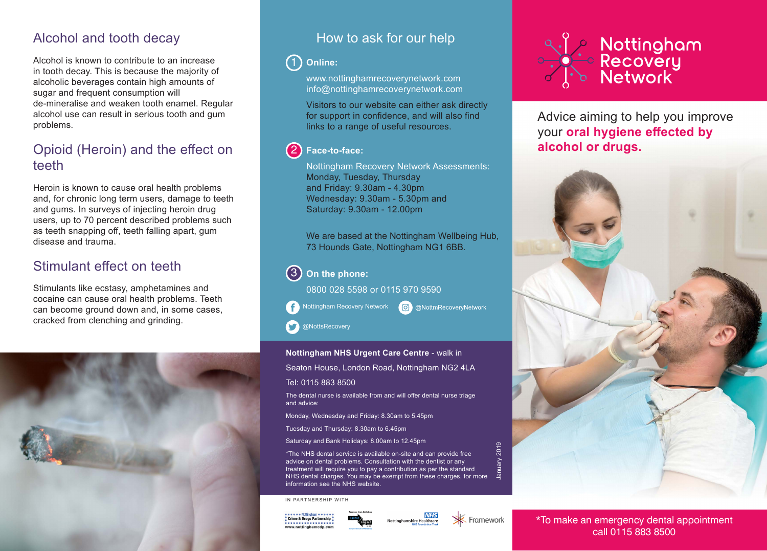# Alcohol and tooth decay

Alcohol is known to contribute to an increase in tooth decay. This is because the majority of alcoholic beverages contain high amounts of sugar and frequent consumption will de-mineralise and weaken tooth enamel. Regular alcohol use can result in serious tooth and gum problems.

# Opioid (Heroin) and the effect on teeth

Heroin is known to cause oral health problems and, for chronic long term users, damage to teeth and gums. In surveys of injecting heroin drug users, up to 70 percent described problems such as teeth snapping off, teeth falling apart, gum disease and trauma.

# Stimulant effect on teeth

Stimulants like ecstasy, amphetamines and cocaine can cause oral health problems. Teeth can become ground down and, in some cases, cracked from clenching and grinding.



# How to ask for our help

#### **Online:**  $\left( 1\right)$

**Treatment** www.nottinghamrecoverynetwork.com info@nottinghamrecoverynetwork.com

**We will offer the following to aid**  Visitors to our website can either ask directly **service users with their recovery:** for support in confidence, and will also find links to a range of useful resources.

#### **Face-to-face:**<br> **Face-to-face:** 2

we<br>Nottingham Recovery Network Assessments: Monday, Tuesday, Thursday and Friday: 9.30am - 4.30pm Wednesday: 9.30am - 5.30pm and<br>Seturdov: 9.30am - 12.00pm Partnership working with Health Saturday: 9.30am - 12.00pm

We are based at the Nottingham Wellbeing Hub, 73 Hounds Gate, Nottingham NG1 6BB.

C @NottmRecoveryNetwork

#### Continuity of alcohol and drug **the phone: On the phone: On the phone:**  $\left( 3\right)$

Nottingham Recovery Network

0800 028 5598 or 0115 970 9590

@NottsRecovery

### **Nottingham NHS Urgent Care Centre** - walk in

Seaton House, London Road, Nottingham NG2 4LA

### Tel: 0115 883 8500

The dental nurse is available from and will offer dental nurse triage and advice:

Monday, Wednesday and Friday: 8.30am to 5.45pm

Tuesday and Thursday: 8.30am to 6.45pm

Saturday and Bank Holidays: 8.00am to 12.45pm

\*The NHS dental service is available on-site and can provide free advice on dental problems. Consultation with the dentist or any treatment will require you to pay a contribution as per the standard NHS dental charges. You may be exempt from these charges, for more information see the NHS website.

IN PARTNERSHIP WITH







January 2019

2019



Advice aiming to help you improve your **oral hygiene effected by alcohol or drugs.**



\*To make an emergency dental appointment call 0115 883 8500